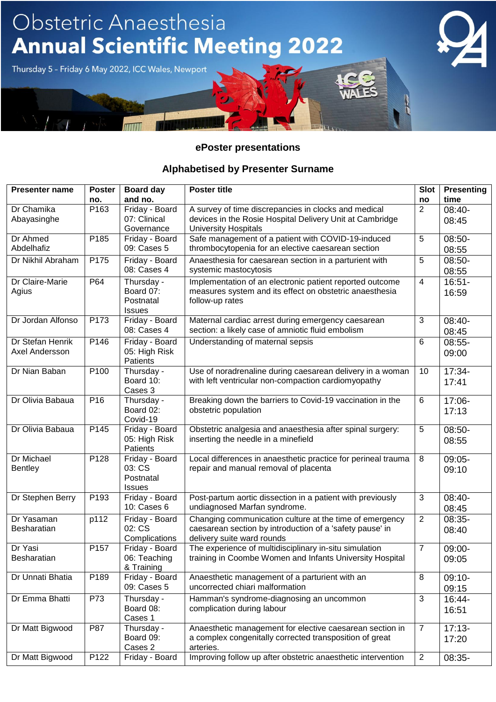#### **ePoster presentations**

#### **Alphabetised by Presenter Surname**

| <b>Presenter name</b> | <b>Poster</b>   | Board day                | <b>Poster title</b>                                                                                    | <b>Slot</b>    | <b>Presenting</b> |
|-----------------------|-----------------|--------------------------|--------------------------------------------------------------------------------------------------------|----------------|-------------------|
|                       | no.             | and no.                  |                                                                                                        | no             | time              |
| Dr Chamika            | P163            | Friday - Board           | A survey of time discrepancies in clocks and medical                                                   | 2              | 08:40-            |
| Abayasinghe           |                 | 07: Clinical             | devices in the Rosie Hospital Delivery Unit at Cambridge                                               |                | 08:45             |
|                       |                 | Governance               | <b>University Hospitals</b>                                                                            |                |                   |
| Dr Ahmed              | P185            | Friday - Board           | Safe management of a patient with COVID-19-induced                                                     | 5              | 08:50-            |
| Abdelhafiz            |                 | 09: Cases 5              | thrombocytopenia for an elective caesarean section                                                     |                | 08:55             |
| Dr Nikhil Abraham     | P175            | Friday - Board           | Anaesthesia for caesarean section in a parturient with                                                 | 5              | 08:50-            |
|                       |                 | 08: Cases 4              | systemic mastocytosis                                                                                  |                | 08:55             |
| Dr Claire-Marie       | P64             | Thursday -               | Implementation of an electronic patient reported outcome                                               | $\overline{4}$ | $16:51 -$         |
| Agius                 |                 | Board 07:                | measures system and its effect on obstetric anaesthesia                                                |                | 16:59             |
|                       |                 | Postnatal                | follow-up rates                                                                                        |                |                   |
|                       |                 | <b>Issues</b>            |                                                                                                        |                |                   |
| Dr Jordan Alfonso     | P173            | Friday - Board           | Maternal cardiac arrest during emergency caesarean                                                     | 3              | 08:40-            |
|                       |                 | 08: Cases 4              | section: a likely case of amniotic fluid embolism                                                      |                | 08:45             |
| Dr Stefan Henrik      | P146            | Friday - Board           | Understanding of maternal sepsis                                                                       | 6              | $08:55-$          |
| Axel Andersson        |                 | 05: High Risk            |                                                                                                        |                | 09:00             |
|                       |                 | Patients                 |                                                                                                        |                |                   |
| Dr Nian Baban         | P100            | Thursday -               | Use of noradrenaline during caesarean delivery in a woman                                              | 10             | 17:34-            |
|                       |                 | Board 10:                | with left ventricular non-compaction cardiomyopathy                                                    |                | 17:41             |
|                       |                 | Cases 3                  |                                                                                                        |                |                   |
| Dr Olivia Babaua      | P <sub>16</sub> | Thursday -               | Breaking down the barriers to Covid-19 vaccination in the                                              | 6              | 17:06-            |
|                       |                 | Board 02:                | obstetric population                                                                                   |                | 17:13             |
|                       |                 | Covid-19                 |                                                                                                        |                |                   |
| Dr Olivia Babaua      | P145            | Friday - Board           | Obstetric analgesia and anaesthesia after spinal surgery:                                              | 5              | 08:50-            |
|                       |                 | 05: High Risk            | inserting the needle in a minefield                                                                    |                | 08:55             |
| Dr Michael            |                 | Patients                 |                                                                                                        |                |                   |
| <b>Bentley</b>        | P128            | Friday - Board<br>03: CS | Local differences in anaesthetic practice for perineal trauma<br>repair and manual removal of placenta | 8              | 09:05-            |
|                       |                 | Postnatal                |                                                                                                        |                | 09:10             |
|                       |                 | <b>Issues</b>            |                                                                                                        |                |                   |
| Dr Stephen Berry      | P193            | Friday - Board           | Post-partum aortic dissection in a patient with previously                                             | 3              | 08:40-            |
|                       |                 | 10: Cases 6              | undiagnosed Marfan syndrome.                                                                           |                | 08:45             |
| Dr Yasaman            | p112            | Friday - Board           | Changing communication culture at the time of emergency                                                | $\overline{2}$ | 08:35-            |
| Besharatian           |                 | 02: CS                   | caesarean section by introduction of a 'safety pause' in                                               |                | 08:40             |
|                       |                 | Complications            | delivery suite ward rounds                                                                             |                |                   |
| Dr Yasi               | P157            | Friday - Board           | The experience of multidisciplinary in-situ simulation                                                 | $\overline{7}$ | 09:00-            |
| Besharatian           |                 | 06: Teaching             | training in Coombe Women and Infants University Hospital                                               |                | 09:05             |
|                       |                 | & Training               |                                                                                                        |                |                   |
| Dr Unnati Bhatia      | P189            | Friday - Board           | Anaesthetic management of a parturient with an                                                         | $\,8\,$        | $09:10-$          |
|                       |                 | 09: Cases 5              | uncorrected chiari malformation                                                                        |                | 09:15             |
| Dr Emma Bhatti        | P73             | Thursday -               | Hamman's syndrome-diagnosing an uncommon                                                               | 3              | 16:44-            |
|                       |                 | Board 08:                | complication during labour                                                                             |                | 16:51             |
|                       |                 | Cases 1                  |                                                                                                        |                |                   |
| Dr Matt Bigwood       | P87             | Thursday -               | Anaesthetic management for elective caesarean section in                                               | $\overline{7}$ | $17:13-$          |
|                       |                 | Board 09:                | a complex congenitally corrected transposition of great                                                |                | 17:20             |
|                       |                 | Cases 2                  | arteries.                                                                                              |                |                   |
| Dr Matt Bigwood       | P122            | Friday - Board           | Improving follow up after obstetric anaesthetic intervention                                           | $\overline{2}$ | 08:35-            |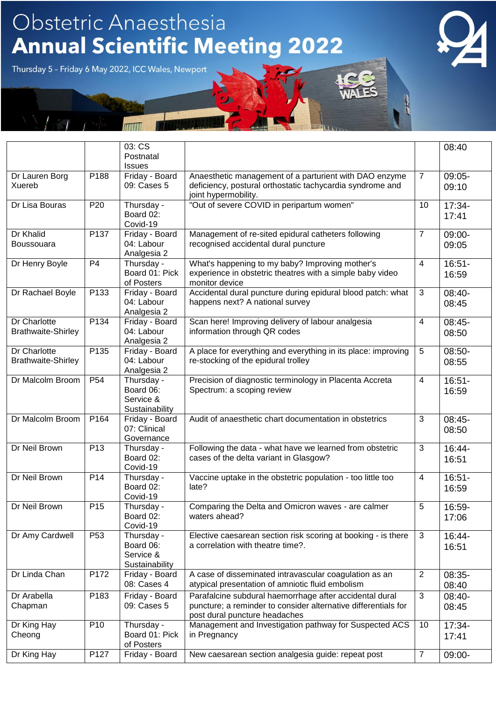|                                                  |                 | 03: CS<br>Postnatal                                    |                                                                                                                                                            |                 | 08:40              |
|--------------------------------------------------|-----------------|--------------------------------------------------------|------------------------------------------------------------------------------------------------------------------------------------------------------------|-----------------|--------------------|
|                                                  |                 | <b>Issues</b>                                          |                                                                                                                                                            |                 |                    |
| Dr Lauren Borg<br>Xuereb                         | P188            | Friday - Board<br>09: Cases 5                          | Anaesthetic management of a parturient with DAO enzyme<br>deficiency, postural orthostatic tachycardia syndrome and<br>joint hypermobility.                | $\overline{7}$  | 09:05-<br>09:10    |
| Dr Lisa Bouras                                   | P <sub>20</sub> | Thursday -<br>Board 02:<br>Covid-19                    | "Out of severe COVID in peripartum women"                                                                                                                  | 10              | 17:34-<br>17:41    |
| Dr Khalid<br>Boussouara                          | P137            | Friday - Board<br>04: Labour<br>Analgesia 2            | Management of re-sited epidural catheters following<br>recognised accidental dural puncture                                                                | $\overline{7}$  | 09:00-<br>09:05    |
| Dr Henry Boyle                                   | P <sub>4</sub>  | Thursday -<br>Board 01: Pick<br>of Posters             | What's happening to my baby? Improving mother's<br>experience in obstetric theatres with a simple baby video<br>monitor device                             | $\overline{4}$  | $16:51-$<br>16:59  |
| Dr Rachael Boyle                                 | P133            | Friday - Board<br>04: Labour<br>Analgesia 2            | Accidental dural puncture during epidural blood patch: what<br>happens next? A national survey                                                             | 3               | 08:40-<br>08:45    |
| Dr Charlotte<br><b>Brathwaite-Shirley</b>        | P134            | Friday - Board<br>04: Labour<br>Analgesia 2            | Scan here! Improving delivery of labour analgesia<br>information through QR codes                                                                          | 4               | 08:45-<br>08:50    |
| <b>Dr Charlotte</b><br><b>Brathwaite-Shirley</b> | P135            | Friday - Board<br>04: Labour<br>Analgesia 2            | A place for everything and everything in its place: improving<br>re-stocking of the epidural trolley                                                       | $5\phantom{.0}$ | 08:50-<br>08:55    |
| Dr Malcolm Broom                                 | P <sub>54</sub> | Thursday -<br>Board 06:<br>Service &<br>Sustainability | Precision of diagnostic terminology in Placenta Accreta<br>Spectrum: a scoping review                                                                      | $\overline{4}$  | $16:51-$<br>16:59  |
| Dr Malcolm Broom                                 | P164            | Friday - Board<br>07: Clinical<br>Governance           | Audit of anaesthetic chart documentation in obstetrics                                                                                                     | 3               | 08:45-<br>08:50    |
| Dr Neil Brown                                    | P <sub>13</sub> | Thursday -<br>Board 02:<br>Covid-19                    | Following the data - what have we learned from obstetric<br>cases of the delta variant in Glasgow?                                                         | 3               | 16:44-<br>16:51    |
| Dr Neil Brown                                    | P <sub>14</sub> | Thursday -<br>Board 02:<br>Covid-19                    | Vaccine uptake in the obstetric population - too little too<br>late?                                                                                       | $\overline{4}$  | $16:51 -$<br>16:59 |
| Dr Neil Brown                                    | P <sub>15</sub> | Thursday -<br>Board 02:<br>Covid-19                    | Comparing the Delta and Omicron waves - are calmer<br>waters ahead?                                                                                        | 5               | 16:59-<br>17:06    |
| Dr Amy Cardwell                                  | P <sub>53</sub> | Thursday -<br>Board 06:<br>Service &<br>Sustainability | Elective caesarean section risk scoring at booking - is there<br>a correlation with theatre time?.                                                         | 3               | 16:44-<br>16:51    |
| Dr Linda Chan                                    | P172            | Friday - Board<br>08: Cases 4                          | A case of disseminated intravascular coagulation as an<br>atypical presentation of amniotic fluid embolism                                                 | 2               | 08:35-<br>08:40    |
| Dr Arabella<br>Chapman                           | P183            | Friday - Board<br>09: Cases 5                          | Parafalcine subdural haemorrhage after accidental dural<br>puncture; a reminder to consider alternative differentials for<br>post dural puncture headaches | 3               | 08:40-<br>08:45    |
| Dr King Hay<br>Cheong                            | P <sub>10</sub> | Thursday -<br>Board 01: Pick<br>of Posters             | Management and Investigation pathway for Suspected ACS<br>in Pregnancy                                                                                     | 10              | 17:34-<br>17:41    |
| Dr King Hay                                      | P127            | Friday - Board                                         | New caesarean section analgesia guide: repeat post                                                                                                         | $\overline{7}$  | 09:00-             |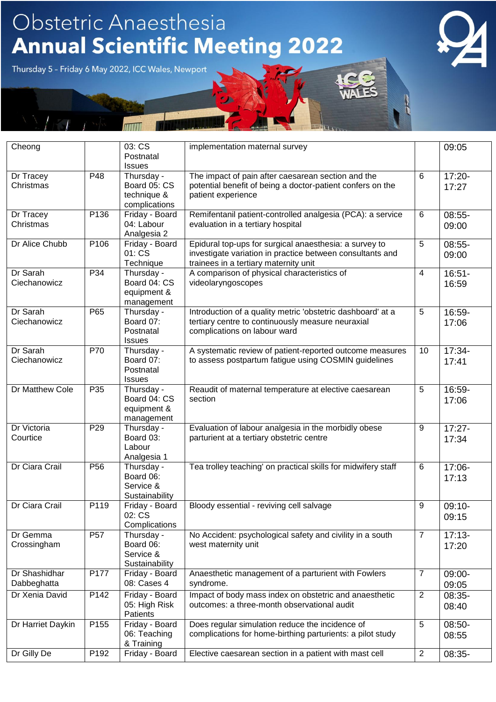| Cheong                       |                 | 03: CS<br>Postnatal<br><b>Issues</b>                       | implementation maternal survey                                                                                                                               |                 | 09:05              |
|------------------------------|-----------------|------------------------------------------------------------|--------------------------------------------------------------------------------------------------------------------------------------------------------------|-----------------|--------------------|
| Dr Tracey<br>Christmas       | P48             | Thursday -<br>Board 05: CS<br>technique &<br>complications | The impact of pain after caesarean section and the<br>potential benefit of being a doctor-patient confers on the<br>patient experience                       | $6\phantom{1}6$ | $17:20 -$<br>17:27 |
| Dr Tracey<br>Christmas       | P136            | Friday - Board<br>04: Labour<br>Analgesia 2                | Remifentanil patient-controlled analgesia (PCA): a service<br>evaluation in a tertiary hospital                                                              | 6               | 08:55-<br>09:00    |
| Dr Alice Chubb               | P106            | Friday - Board<br>01: CS<br>Technique                      | Epidural top-ups for surgical anaesthesia: a survey to<br>investigate variation in practice between consultants and<br>trainees in a tertiary maternity unit | 5               | 08:55-<br>09:00    |
| Dr Sarah<br>Ciechanowicz     | P34             | Thursday -<br>Board 04: CS<br>equipment &<br>management    | A comparison of physical characteristics of<br>videolaryngoscopes                                                                                            | $\overline{4}$  | $16:51 -$<br>16:59 |
| Dr Sarah<br>Ciechanowicz     | P65             | Thursday -<br>Board 07:<br>Postnatal<br><b>Issues</b>      | Introduction of a quality metric 'obstetric dashboard' at a<br>tertiary centre to continuously measure neuraxial<br>complications on labour ward             | 5               | 16:59-<br>17:06    |
| Dr Sarah<br>Ciechanowicz     | P70             | Thursday -<br>Board 07:<br>Postnatal<br><b>Issues</b>      | A systematic review of patient-reported outcome measures<br>to assess postpartum fatigue using COSMIN guidelines                                             | 10              | 17:34-<br>17:41    |
| <b>Dr Matthew Cole</b>       | P <sub>35</sub> | Thursday -<br>Board 04: CS<br>equipment &<br>management    | Reaudit of maternal temperature at elective caesarean<br>section                                                                                             | 5               | 16:59-<br>17:06    |
| Dr Victoria<br>Courtice      | P <sub>29</sub> | Thursday -<br>Board 03:<br>Labour<br>Analgesia 1           | Evaluation of labour analgesia in the morbidly obese<br>parturient at a tertiary obstetric centre                                                            | 9               | $17:27 -$<br>17:34 |
| Dr Ciara Crail               | P <sub>56</sub> | Thursday -<br>Board 06:<br>Service &<br>Sustainability     | Tea trolley teaching' on practical skills for midwifery staff                                                                                                | 6               | 17:06-<br>17:13    |
| Dr Ciara Crail               | P119            | Friday - Board<br>02: CS<br>Complications                  | Bloody essential - reviving cell salvage                                                                                                                     | 9               | $09:10-$<br>09:15  |
| Dr Gemma<br>Crossingham      | <b>P57</b>      | Thursday -<br>Board 06:<br>Service &<br>Sustainability     | No Accident: psychological safety and civility in a south<br>west maternity unit                                                                             | $\overline{7}$  | $17:13-$<br>17:20  |
| Dr Shashidhar<br>Dabbeghatta | P177            | Friday - Board<br>08: Cases 4                              | Anaesthetic management of a parturient with Fowlers<br>syndrome.                                                                                             | $\overline{7}$  | 09:00-<br>09:05    |
| Dr Xenia David               | P142            | Friday - Board<br>05: High Risk<br>Patients                | Impact of body mass index on obstetric and anaesthetic<br>outcomes: a three-month observational audit                                                        | $\overline{2}$  | 08:35-<br>08:40    |
| Dr Harriet Daykin            | P155            | Friday - Board<br>06: Teaching<br>& Training               | Does regular simulation reduce the incidence of<br>complications for home-birthing parturients: a pilot study                                                | $\sqrt{5}$      | 08:50-<br>08:55    |
| Dr Gilly De                  | P192            | Friday - Board                                             | Elective caesarean section in a patient with mast cell                                                                                                       | $\overline{2}$  | 08:35-             |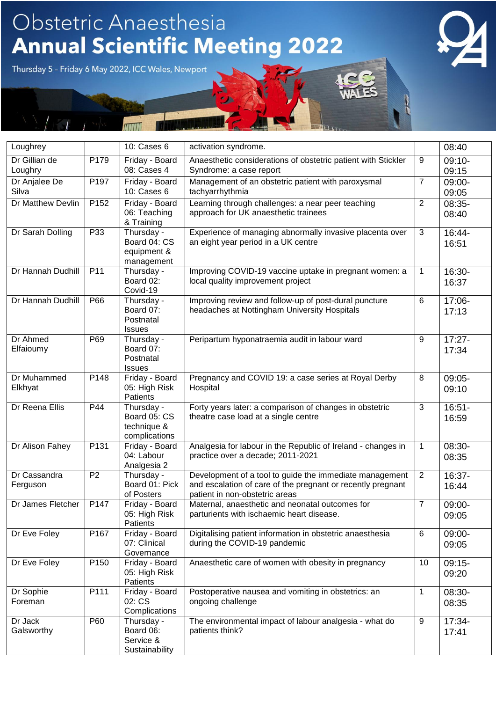| Loughrey                 |                  | 10: Cases 6                                                | activation syndrome.                                                                                                                                     |                | 08:40              |
|--------------------------|------------------|------------------------------------------------------------|----------------------------------------------------------------------------------------------------------------------------------------------------------|----------------|--------------------|
| Dr Gillian de<br>Loughry | P179             | Friday - Board<br>08: Cases 4                              | Anaesthetic considerations of obstetric patient with Stickler<br>Syndrome: a case report                                                                 | 9              | $09:10-$<br>09:15  |
| Dr Anjalee De<br>Silva   | P197             | Friday - Board<br>10: Cases 6                              | Management of an obstetric patient with paroxysmal<br>tachyarrhythmia                                                                                    | $\overline{7}$ | 09:00-<br>09:05    |
| Dr Matthew Devlin        | P <sub>152</sub> | Friday - Board<br>06: Teaching<br>& Training               | Learning through challenges: a near peer teaching<br>approach for UK anaesthetic trainees                                                                | $\overline{2}$ | 08:35-<br>08:40    |
| Dr Sarah Dolling         | P33              | Thursday -<br>Board 04: CS<br>equipment &<br>management    | Experience of managing abnormally invasive placenta over<br>an eight year period in a UK centre                                                          | 3              | 16:44-<br>16:51    |
| Dr Hannah Dudhill        | P11              | Thursday -<br>Board 02:<br>Covid-19                        | Improving COVID-19 vaccine uptake in pregnant women: a<br>local quality improvement project                                                              | $\mathbf 1$    | 16:30-<br>16:37    |
| Dr Hannah Dudhill        | P66              | Thursday -<br>Board 07:<br>Postnatal<br><b>Issues</b>      | Improving review and follow-up of post-dural puncture<br>headaches at Nottingham University Hospitals                                                    | 6              | 17:06-<br>17:13    |
| Dr Ahmed<br>Elfaioumy    | P69              | Thursday -<br>Board 07:<br>Postnatal<br><b>Issues</b>      | Peripartum hyponatraemia audit in labour ward                                                                                                            | 9              | $17:27 -$<br>17:34 |
| Dr Muhammed<br>Elkhyat   | P148             | Friday - Board<br>05: High Risk<br>Patients                | Pregnancy and COVID 19: a case series at Royal Derby<br>Hospital                                                                                         | 8              | 09:05-<br>09:10    |
| Dr Reena Ellis           | P44              | Thursday -<br>Board 05: CS<br>technique &<br>complications | Forty years later: a comparison of changes in obstetric<br>theatre case load at a single centre                                                          | 3              | $16:51 -$<br>16:59 |
| Dr Alison Fahey          | P131             | Friday - Board<br>04: Labour<br>Analgesia 2                | Analgesia for labour in the Republic of Ireland - changes in<br>practice over a decade; 2011-2021                                                        | 1              | 08:30-<br>08:35    |
| Dr Cassandra<br>Ferguson | P <sub>2</sub>   | Thursday -<br>Board 01: Pick<br>of Posters                 | Development of a tool to guide the immediate management<br>and escalation of care of the pregnant or recently pregnant<br>patient in non-obstetric areas | $\overline{2}$ | 16:37-<br>16:44    |
| Dr James Fletcher        | P147             | Friday - Board<br>05: High Risk<br>Patients                | Maternal, anaesthetic and neonatal outcomes for<br>parturients with ischaemic heart disease.                                                             | $\overline{7}$ | 09:00-<br>09:05    |
| Dr Eve Foley             | P167             | Friday - Board<br>07: Clinical<br>Governance               | Digitalising patient information in obstetric anaesthesia<br>during the COVID-19 pandemic                                                                | 6              | 09:00-<br>09:05    |
| Dr Eve Foley             | P <sub>150</sub> | Friday - Board<br>05: High Risk<br>Patients                | Anaesthetic care of women with obesity in pregnancy                                                                                                      | 10             | $09:15-$<br>09:20  |
| Dr Sophie<br>Foreman     | P111             | Friday - Board<br>02: CS<br>Complications                  | Postoperative nausea and vomiting in obstetrics: an<br>ongoing challenge                                                                                 | $\mathbf{1}$   | 08:30-<br>08:35    |
| Dr Jack<br>Galsworthy    | P60              | Thursday -<br>Board 06:<br>Service &<br>Sustainability     | The environmental impact of labour analgesia - what do<br>patients think?                                                                                | 9              | $17:34-$<br>17:41  |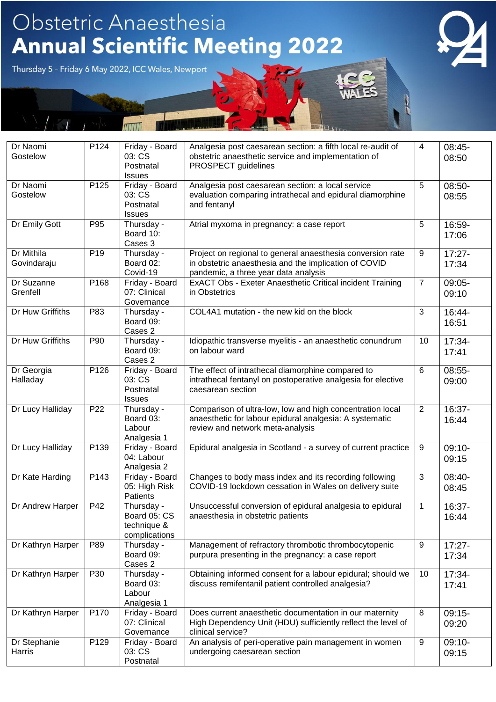| Dr Naomi<br>Gostelow      | P124            | Friday - Board<br>03: CS<br>Postnatal<br><b>Issues</b>     | Analgesia post caesarean section: a fifth local re-audit of<br>obstetric anaesthetic service and implementation of<br>PROSPECT guidelines                   | $\overline{4}$ | $08:45-$<br>08:50  |
|---------------------------|-----------------|------------------------------------------------------------|-------------------------------------------------------------------------------------------------------------------------------------------------------------|----------------|--------------------|
| Dr Naomi<br>Gostelow      | P125            | Friday - Board<br>03: CS<br>Postnatal<br><b>Issues</b>     | Analgesia post caesarean section: a local service<br>evaluation comparing intrathecal and epidural diamorphine<br>and fentanyl                              | 5              | 08:50-<br>08:55    |
| Dr Emily Gott             | P95             | Thursday -<br>Board 10:<br>Cases 3                         | Atrial myxoma in pregnancy: a case report                                                                                                                   | 5              | 16:59-<br>17:06    |
| Dr Mithila<br>Govindaraju | P <sub>19</sub> | Thursday -<br>Board 02:<br>Covid-19                        | Project on regional to general anaesthesia conversion rate<br>in obstetric anaesthesia and the implication of COVID<br>pandemic, a three year data analysis | 9              | $17:27 -$<br>17:34 |
| Dr Suzanne<br>Grenfell    | P168            | Friday - Board<br>07: Clinical<br>Governance               | ExACT Obs - Exeter Anaesthetic Critical incident Training<br>in Obstetrics                                                                                  | $\overline{7}$ | $09:05 -$<br>09:10 |
| Dr Huw Griffiths          | P83             | Thursday -<br>Board 09:<br>Cases 2                         | COL4A1 mutation - the new kid on the block                                                                                                                  | 3              | $16:44-$<br>16:51  |
| Dr Huw Griffiths          | P90             | Thursday -<br>Board 09:<br>Cases 2                         | Idiopathic transverse myelitis - an anaesthetic conundrum<br>on labour ward                                                                                 | 10             | 17:34-<br>17:41    |
| Dr Georgia<br>Halladay    | P126            | Friday - Board<br>03: CS<br>Postnatal<br><b>Issues</b>     | The effect of intrathecal diamorphine compared to<br>intrathecal fentanyl on postoperative analgesia for elective<br>caesarean section                      | 6              | $08:55-$<br>09:00  |
| Dr Lucy Halliday          | P <sub>22</sub> | Thursday -<br>Board 03:<br>Labour<br>Analgesia 1           | Comparison of ultra-low, low and high concentration local<br>anaesthetic for labour epidural analgesia: A systematic<br>review and network meta-analysis    | $\overline{2}$ | 16:37-<br>16:44    |
| Dr Lucy Halliday          | P139            | Friday - Board<br>04: Labour<br>Analgesia 2                | Epidural analgesia in Scotland - a survey of current practice                                                                                               | 9              | $09:10-$<br>09:15  |
| Dr Kate Harding           | P143            | Friday - Board<br>05: High Risk<br>Patients                | Changes to body mass index and its recording following<br>COVID-19 lockdown cessation in Wales on delivery suite                                            | 3              | 08:40-<br>08:45    |
| Dr Andrew Harper          | P42             | Thursday -<br>Board 05: CS<br>technique &<br>complications | Unsuccessful conversion of epidural analgesia to epidural<br>anaesthesia in obstetric patients                                                              | $\mathbf 1$    | 16:37-<br>16:44    |
| Dr Kathryn Harper         | P89             | Thursday -<br>Board 09:<br>Cases 2                         | Management of refractory thrombotic thrombocytopenic<br>purpura presenting in the pregnancy: a case report                                                  | 9              | $17:27 -$<br>17:34 |
| Dr Kathryn Harper         | P30             | Thursday -<br>Board 03:<br>Labour<br>Analgesia 1           | Obtaining informed consent for a labour epidural; should we<br>discuss remifentanil patient controlled analgesia?                                           | 10             | 17:34-<br>17:41    |
| Dr Kathryn Harper         | P170            | Friday - Board<br>07: Clinical<br>Governance               | Does current anaesthetic documentation in our maternity<br>High Dependency Unit (HDU) sufficiently reflect the level of<br>clinical service?                | 8              | $09:15-$<br>09:20  |
| Dr Stephanie<br>Harris    | P129            | Friday - Board<br>03: CS<br>Postnatal                      | An analysis of peri-operative pain management in women<br>undergoing caesarean section                                                                      | 9              | $09:10-$<br>09:15  |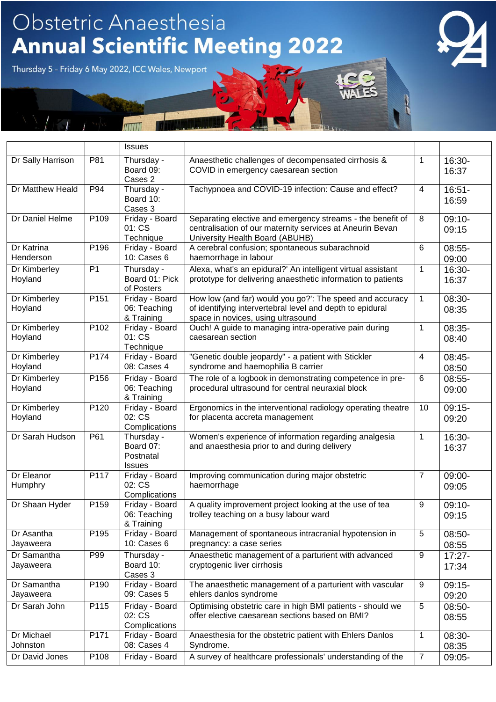|                          |                  | <b>Issues</b>                                         |                                                                                                                                                             |                |                    |
|--------------------------|------------------|-------------------------------------------------------|-------------------------------------------------------------------------------------------------------------------------------------------------------------|----------------|--------------------|
| Dr Sally Harrison        | P81              | Thursday -<br>Board 09:<br>Cases 2                    | Anaesthetic challenges of decompensated cirrhosis &<br>COVID in emergency caesarean section                                                                 | 1              | 16:30-<br>16:37    |
| Dr Matthew Heald         | P94              | Thursday -<br>Board 10:<br>Cases 3                    | Tachypnoea and COVID-19 infection: Cause and effect?                                                                                                        | $\overline{4}$ | $16:51-$<br>16:59  |
| Dr Daniel Helme          | P109             | Friday - Board<br>01: CS<br>Technique                 | Separating elective and emergency streams - the benefit of<br>centralisation of our maternity services at Aneurin Bevan<br>University Health Board (ABUHB)  | 8              | $09:10-$<br>09:15  |
| Dr Katrina<br>Henderson  | P196             | Friday - Board<br>10: Cases 6                         | A cerebral confusion; spontaneous subarachnoid<br>haemorrhage in labour                                                                                     | 6              | $08:55-$<br>09:00  |
| Dr Kimberley<br>Hoyland  | P <sub>1</sub>   | Thursday -<br>Board 01: Pick<br>of Posters            | Alexa, what's an epidural?' An intelligent virtual assistant<br>prototype for delivering anaesthetic information to patients                                | 1              | 16:30-<br>16:37    |
| Dr Kimberley<br>Hoyland  | P151             | Friday - Board<br>06: Teaching<br>& Training          | How low (and far) would you go?": The speed and accuracy<br>of identifying intervertebral level and depth to epidural<br>space in novices, using ultrasound | $\mathbf 1$    | 08:30-<br>08:35    |
| Dr Kimberley<br>Hoyland  | P102             | Friday - Board<br>01: CS<br>Technique                 | Ouch! A guide to managing intra-operative pain during<br>caesarean section                                                                                  | 1              | 08:35-<br>08:40    |
| Dr Kimberley<br>Hoyland  | P174             | Friday - Board<br>08: Cases 4                         | "Genetic double jeopardy" - a patient with Stickler<br>syndrome and haemophilia B carrier                                                                   | 4              | 08:45-<br>08:50    |
| Dr Kimberley<br>Hoyland  | P156             | Friday - Board<br>06: Teaching<br>& Training          | The role of a logbook in demonstrating competence in pre-<br>procedural ultrasound for central neuraxial block                                              | 6              | $08:55-$<br>09:00  |
| Dr Kimberley<br>Hoyland  | P120             | Friday - Board<br>02: CS<br>Complications             | Ergonomics in the interventional radiology operating theatre<br>for placenta accreta management                                                             | 10             | $09:15-$<br>09:20  |
| Dr Sarah Hudson          | P61              | Thursday -<br>Board 07:<br>Postnatal<br><b>Issues</b> | Women's experience of information regarding analgesia<br>and anaesthesia prior to and during delivery                                                       | 1              | 16:30-<br>16:37    |
| Dr Eleanor<br>Humphry    | P117             | Friday - Board<br>02: CS<br>Complications             | Improving communication during major obstetric<br>haemorrhage                                                                                               | $\overline{7}$ | 09:00-<br>09:05    |
| Dr Shaan Hyder           | P159             | Friday - Board<br>06: Teaching<br>& Training          | A quality improvement project looking at the use of tea<br>trolley teaching on a busy labour ward                                                           | 9              | $09:10-$<br>09:15  |
| Dr Asantha<br>Jayaweera  | P <sub>195</sub> | Friday - Board<br>10: Cases 6                         | Management of spontaneous intracranial hypotension in<br>pregnancy: a case series                                                                           | $\sqrt{5}$     | 08:50-<br>08:55    |
| Dr Samantha<br>Jayaweera | P99              | Thursday -<br>Board 10:<br>Cases 3                    | Anaesthetic management of a parturient with advanced<br>cryptogenic liver cirrhosis                                                                         | 9              | $17:27 -$<br>17:34 |
| Dr Samantha<br>Jayaweera | P <sub>190</sub> | Friday - Board<br>09: Cases 5                         | The anaesthetic management of a parturient with vascular<br>ehlers danlos syndrome                                                                          | 9              | $09:15-$<br>09:20  |
| Dr Sarah John            | P115             | Friday - Board<br>02: CS<br>Complications             | Optimising obstetric care in high BMI patients - should we<br>offer elective caesarean sections based on BMI?                                               | 5              | 08:50-<br>08:55    |
| Dr Michael<br>Johnston   | P171             | Friday - Board<br>08: Cases 4                         | Anaesthesia for the obstetric patient with Ehlers Danlos<br>Syndrome.                                                                                       | 1              | 08:30-<br>08:35    |
| Dr David Jones           | P108             | Friday - Board                                        | A survey of healthcare professionals' understanding of the                                                                                                  | $\overline{7}$ | 09:05-             |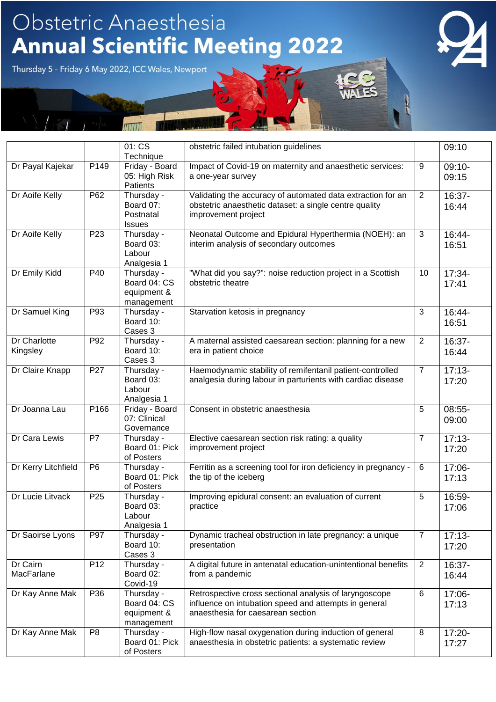|                          |                 | 01: CS<br>Technique                                     | obstetric failed intubation guidelines                                                                                                               |                | 09:10             |
|--------------------------|-----------------|---------------------------------------------------------|------------------------------------------------------------------------------------------------------------------------------------------------------|----------------|-------------------|
| Dr Payal Kajekar         | P149            | Friday - Board<br>05: High Risk<br>Patients             | Impact of Covid-19 on maternity and anaesthetic services:<br>a one-year survey                                                                       | 9              | $09:10-$<br>09:15 |
| Dr Aoife Kelly           | P62             | Thursday -<br>Board 07:<br>Postnatal<br><b>Issues</b>   | Validating the accuracy of automated data extraction for an<br>obstetric anaesthetic dataset: a single centre quality<br>improvement project         | 2              | 16:37-<br>16:44   |
| Dr Aoife Kelly           | P <sub>23</sub> | Thursday -<br>Board 03:<br>Labour<br>Analgesia 1        | Neonatal Outcome and Epidural Hyperthermia (NOEH): an<br>interim analysis of secondary outcomes                                                      | $\mathbf{3}$   | 16:44-<br>16:51   |
| Dr Emily Kidd            | P40             | Thursday -<br>Board 04: CS<br>equipment &<br>management | "What did you say?": noise reduction project in a Scottish<br>obstetric theatre                                                                      | 10             | 17:34-<br>17:41   |
| Dr Samuel King           | P93             | Thursday -<br>Board 10:<br>Cases 3                      | Starvation ketosis in pregnancy                                                                                                                      | 3              | 16:44-<br>16:51   |
| Dr Charlotte<br>Kingsley | P92             | Thursday -<br>Board 10:<br>Cases 3                      | A maternal assisted caesarean section: planning for a new<br>era in patient choice                                                                   | 2              | 16:37-<br>16:44   |
| Dr Claire Knapp          | P27             | Thursday -<br>Board 03:<br>Labour<br>Analgesia 1        | Haemodynamic stability of remifentanil patient-controlled<br>analgesia during labour in parturients with cardiac disease                             | $\overline{7}$ | $17:13-$<br>17:20 |
| Dr Joanna Lau            | P166            | Friday - Board<br>07: Clinical<br>Governance            | Consent in obstetric anaesthesia                                                                                                                     | 5              | 08:55-<br>09:00   |
| Dr Cara Lewis            | P7              | Thursday -<br>Board 01: Pick<br>of Posters              | Elective caesarean section risk rating: a quality<br>improvement project                                                                             | $\overline{7}$ | $17:13-$<br>17:20 |
| Dr Kerry Litchfield      | P <sub>6</sub>  | Thursday -<br>Board 01: Pick<br>of Posters              | Ferritin as a screening tool for iron deficiency in pregnancy -<br>the tip of the iceberg                                                            | 6              | 17:06-<br>17:13   |
| Dr Lucie Litvack         | P <sub>25</sub> | Thursday -<br>Board 03:<br>Labour<br>Analgesia 1        | Improving epidural consent: an evaluation of current<br>practice                                                                                     | 5              | $16:59-$<br>17:06 |
| Dr Saoirse Lyons         | P97             | Thursday -<br>Board 10:<br>Cases 3                      | Dynamic tracheal obstruction in late pregnancy: a unique<br>presentation                                                                             | $\overline{7}$ | $17:13-$<br>17:20 |
| Dr Cairn<br>MacFarlane   | P <sub>12</sub> | Thursday -<br>Board 02:<br>Covid-19                     | A digital future in antenatal education-unintentional benefits<br>from a pandemic                                                                    | $\overline{2}$ | 16:37-<br>16:44   |
| Dr Kay Anne Mak          | P36             | Thursday -<br>Board 04: CS<br>equipment &<br>management | Retrospective cross sectional analysis of laryngoscope<br>influence on intubation speed and attempts in general<br>anaesthesia for caesarean section | $\,6\,$        | 17:06-<br>17:13   |
| Dr Kay Anne Mak          | P <sub>8</sub>  | Thursday -<br>Board 01: Pick<br>of Posters              | High-flow nasal oxygenation during induction of general<br>anaesthesia in obstetric patients: a systematic review                                    | 8              | 17:20-<br>17:27   |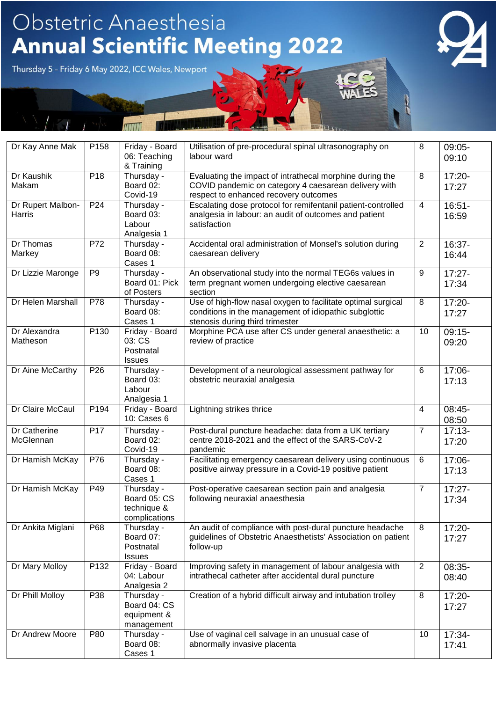| Dr Kay Anne Mak             | P158             | Friday - Board                                             | Utilisation of pre-procedural spinal ultrasonography on                                                                                                   | 8              | 09:05-             |
|-----------------------------|------------------|------------------------------------------------------------|-----------------------------------------------------------------------------------------------------------------------------------------------------------|----------------|--------------------|
|                             |                  | 06: Teaching<br>& Training                                 | labour ward                                                                                                                                               |                | 09:10              |
| Dr Kaushik<br>Makam         | P18              | Thursday -<br>Board 02:<br>Covid-19                        | Evaluating the impact of intrathecal morphine during the<br>COVID pandemic on category 4 caesarean delivery with<br>respect to enhanced recovery outcomes | 8              | $17:20 -$<br>17:27 |
| Dr Rupert Malbon-<br>Harris | P <sub>24</sub>  | Thursday -<br>Board 03:<br>Labour<br>Analgesia 1           | Escalating dose protocol for remifentanil patient-controlled<br>analgesia in labour: an audit of outcomes and patient<br>satisfaction                     | $\overline{4}$ | $16:51-$<br>16:59  |
| Dr Thomas<br>Markey         | P72              | Thursday -<br>Board 08:<br>Cases 1                         | Accidental oral administration of Monsel's solution during<br>caesarean delivery                                                                          | $\overline{2}$ | 16:37-<br>16:44    |
| Dr Lizzie Maronge           | P <sub>9</sub>   | Thursday -<br>Board 01: Pick<br>of Posters                 | An observational study into the normal TEG6s values in<br>term pregnant women undergoing elective caesarean<br>section                                    | 9              | $17:27 -$<br>17:34 |
| Dr Helen Marshall           | P78              | Thursday -<br>Board 08:<br>Cases 1                         | Use of high-flow nasal oxygen to facilitate optimal surgical<br>conditions in the management of idiopathic subglottic<br>stenosis during third trimester  | 8              | 17:20-<br>17:27    |
| Dr Alexandra<br>Matheson    | P <sub>130</sub> | Friday - Board<br>03: CS<br>Postnatal<br><b>Issues</b>     | Morphine PCA use after CS under general anaesthetic: a<br>review of practice                                                                              | 10             | $09:15-$<br>09:20  |
| Dr Aine McCarthy            | P <sub>26</sub>  | Thursday -<br>Board 03:<br>Labour<br>Analgesia 1           | Development of a neurological assessment pathway for<br>obstetric neuraxial analgesia                                                                     | 6              | 17:06-<br>17:13    |
| Dr Claire McCaul            | P194             | Friday - Board<br>10: Cases 6                              | Lightning strikes thrice                                                                                                                                  | $\overline{4}$ | 08:45-<br>08:50    |
| Dr Catherine<br>McGlennan   | P <sub>17</sub>  | Thursday -<br>Board 02:<br>Covid-19                        | Post-dural puncture headache: data from a UK tertiary<br>centre 2018-2021 and the effect of the SARS-CoV-2<br>pandemic                                    | $\overline{7}$ | $17:13-$<br>17:20  |
| Dr Hamish McKay             | P76              | Thursday -<br>Board 08:<br>Cases 1                         | Facilitating emergency caesarean delivery using continuous<br>positive airway pressure in a Covid-19 positive patient                                     | $\,6\,$        | 17:06-<br>17:13    |
| Dr Hamish McKay             | P49              | Thursday -<br>Board 05: CS<br>technique &<br>complications | Post-operative caesarean section pain and analgesia<br>following neuraxial anaesthesia                                                                    | $\overline{7}$ | $17:27 -$<br>17:34 |
| Dr Ankita Miglani           | P68              | Thursday -<br>Board 07:<br>Postnatal<br><b>Issues</b>      | An audit of compliance with post-dural puncture headache<br>guidelines of Obstetric Anaesthetists' Association on patient<br>follow-up                    | 8              | 17:20-<br>17:27    |
| Dr Mary Molloy              | P132             | Friday - Board<br>04: Labour<br>Analgesia 2                | Improving safety in management of labour analgesia with<br>intrathecal catheter after accidental dural puncture                                           | 2              | 08:35-<br>08:40    |
| Dr Phill Molloy             | P38              | Thursday -<br>Board 04: CS<br>equipment &<br>management    | Creation of a hybrid difficult airway and intubation trolley                                                                                              | 8              | 17:20-<br>17:27    |
| Dr Andrew Moore             | P80              | Thursday -<br>Board 08:<br>Cases 1                         | Use of vaginal cell salvage in an unusual case of<br>abnormally invasive placenta                                                                         | 10             | 17:34-<br>17:41    |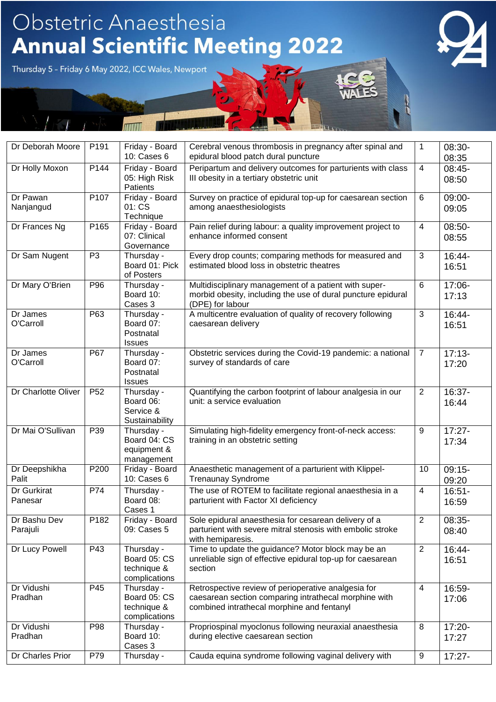| Dr Deborah Moore         | P191            | Friday - Board<br>10: Cases 6                              | Cerebral venous thrombosis in pregnancy after spinal and<br>epidural blood patch dural puncture                                                            | $\mathbf{1}$            | 08:30-<br>08:35    |
|--------------------------|-----------------|------------------------------------------------------------|------------------------------------------------------------------------------------------------------------------------------------------------------------|-------------------------|--------------------|
| Dr Holly Moxon           | P144            | Friday - Board<br>05: High Risk<br>Patients                | Peripartum and delivery outcomes for parturients with class<br>III obesity in a tertiary obstetric unit                                                    | $\overline{4}$          | 08:45-<br>08:50    |
| Dr Pawan<br>Nanjangud    | P107            | Friday - Board<br>01: CS<br>Technique                      | Survey on practice of epidural top-up for caesarean section<br>among anaesthesiologists                                                                    | 6                       | 09:00-<br>09:05    |
| Dr Frances Ng            | P165            | Friday - Board<br>07: Clinical<br>Governance               | Pain relief during labour: a quality improvement project to<br>enhance informed consent                                                                    | $\overline{\mathbf{4}}$ | 08:50-<br>08:55    |
| Dr Sam Nugent            | P <sub>3</sub>  | Thursday -<br>Board 01: Pick<br>of Posters                 | Every drop counts; comparing methods for measured and<br>estimated blood loss in obstetric theatres                                                        | $\mathfrak{S}$          | 16:44-<br>16:51    |
| Dr Mary O'Brien          | P96             | Thursday -<br>Board 10:<br>Cases 3                         | Multidisciplinary management of a patient with super-<br>morbid obesity, including the use of dural puncture epidural<br>(DPE) for labour                  | $6\phantom{1}6$         | 17:06-<br>17:13    |
| Dr James<br>O'Carroll    | P63             | Thursday -<br>Board 07:<br>Postnatal<br><b>Issues</b>      | A multicentre evaluation of quality of recovery following<br>caesarean delivery                                                                            | $\overline{3}$          | 16:44-<br>16:51    |
| Dr James<br>O'Carroll    | P67             | Thursday -<br>Board 07:<br>Postnatal<br><b>Issues</b>      | Obstetric services during the Covid-19 pandemic: a national<br>survey of standards of care                                                                 | $\overline{7}$          | $17:13-$<br>17:20  |
| Dr Charlotte Oliver      | P <sub>52</sub> | Thursday -<br>Board 06:<br>Service &<br>Sustainability     | Quantifying the carbon footprint of labour analgesia in our<br>unit: a service evaluation                                                                  | 2                       | 16:37-<br>16:44    |
| Dr Mai O'Sullivan        | P39             | Thursday -<br>Board 04: CS<br>equipment &<br>management    | Simulating high-fidelity emergency front-of-neck access:<br>training in an obstetric setting                                                               | $\boldsymbol{9}$        | $17:27 -$<br>17:34 |
| Dr Deepshikha<br>Palit   | P200            | Friday - Board<br>10: Cases 6                              | Anaesthetic management of a parturient with Klippel-<br><b>Trenaunay Syndrome</b>                                                                          | 10                      | $09:15-$<br>09:20  |
| Dr Gurkirat<br>Panesar   | P74             | Thursday -<br>Board 08:<br>Cases 1                         | The use of ROTEM to facilitate regional anaesthesia in a<br>parturient with Factor XI deficiency                                                           | $\overline{4}$          | $16:51 -$<br>16:59 |
| Dr Bashu Dev<br>Parajuli | P182            | Friday - Board<br>09: Cases 5                              | Sole epidural anaesthesia for cesarean delivery of a<br>parturient with severe mitral stenosis with embolic stroke<br>with hemiparesis.                    | $\overline{2}$          | 08:35-<br>08:40    |
| Dr Lucy Powell           | P43             | Thursday -<br>Board 05: CS<br>technique &<br>complications | Time to update the guidance? Motor block may be an<br>unreliable sign of effective epidural top-up for caesarean<br>section                                | $\overline{2}$          | 16:44-<br>16:51    |
| Dr Vidushi<br>Pradhan    | P45             | Thursday -<br>Board 05: CS<br>technique &<br>complications | Retrospective review of perioperative analgesia for<br>caesarean section comparing intrathecal morphine with<br>combined intrathecal morphine and fentanyl | $\overline{4}$          | 16:59-<br>17:06    |
| Dr Vidushi<br>Pradhan    | P98             | Thursday -<br>Board 10:<br>Cases 3                         | Propriospinal myoclonus following neuraxial anaesthesia<br>during elective caesarean section                                                               | 8                       | 17:20-<br>17:27    |
| Dr Charles Prior         | P79             | Thursday -                                                 | Cauda equina syndrome following vaginal delivery with                                                                                                      | $\boldsymbol{9}$        | $17:27 -$          |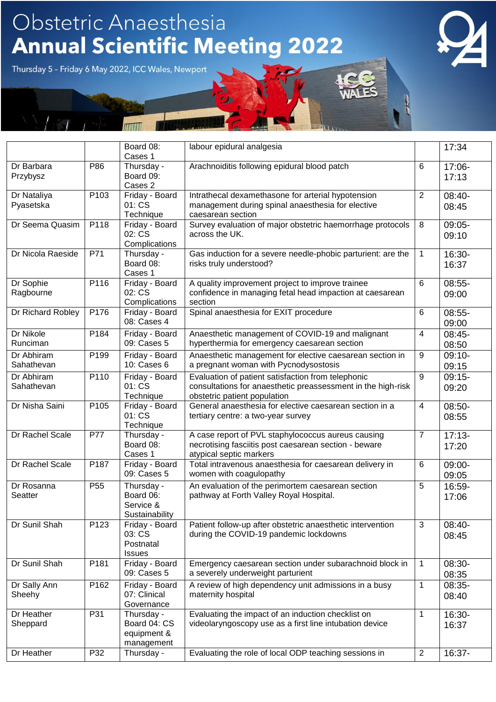|                          |                 | Board 08:<br>Cases 1                                    | labour epidural analgesia                                                                                                                          |                | 17:34             |
|--------------------------|-----------------|---------------------------------------------------------|----------------------------------------------------------------------------------------------------------------------------------------------------|----------------|-------------------|
| Dr Barbara<br>Przybysz   | P86             | Thursday -<br>Board 09:                                 | Arachnoiditis following epidural blood patch                                                                                                       | 6              | 17:06-<br>17:13   |
| Dr Nataliya<br>Pyasetska | P103            | Cases 2<br>Friday - Board<br>01: CS<br>Technique        | Intrathecal dexamethasone for arterial hypotension<br>management during spinal anaesthesia for elective<br>caesarean section                       | $\overline{2}$ | 08:40-<br>08:45   |
| Dr Seema Quasim          | P118            | Friday - Board<br>02: CS<br>Complications               | Survey evaluation of major obstetric haemorrhage protocols<br>across the UK.                                                                       | 8              | 09:05-<br>09:10   |
| Dr Nicola Raeside        | P71             | Thursday -<br>Board 08:<br>Cases 1                      | Gas induction for a severe needle-phobic parturient: are the<br>risks truly understood?                                                            | $\mathbf{1}$   | 16:30-<br>16:37   |
| Dr Sophie<br>Ragbourne   | P116            | Friday - Board<br>02: CS<br>Complications               | A quality improvement project to improve trainee<br>confidence in managing fetal head impaction at caesarean<br>section                            | 6              | 08:55-<br>09:00   |
| Dr Richard Robley        | P176            | Friday - Board<br>08: Cases 4                           | Spinal anaesthesia for EXIT procedure                                                                                                              | 6              | $08:55-$<br>09:00 |
| Dr Nikole<br>Runciman    | P184            | Friday - Board<br>09: Cases 5                           | Anaesthetic management of COVID-19 and malignant<br>hyperthermia for emergency caesarean section                                                   | 4              | 08:45-<br>08:50   |
| Dr Abhiram<br>Sahathevan | P199            | Friday - Board<br>10: Cases 6                           | Anaesthetic management for elective caesarean section in<br>a pregnant woman with Pycnodysostosis                                                  | 9              | $09:10-$<br>09:15 |
| Dr Abhiram<br>Sahathevan | P110            | Friday - Board<br>01: CS<br>Technique                   | Evaluation of patient satisfaction from telephonic<br>consultations for anaesthetic preassessment in the high-risk<br>obstetric patient population | 9              | $09:15-$<br>09:20 |
| Dr Nisha Saini           | P105            | Friday - Board<br>01: CS<br>Technique                   | General anaesthesia for elective caesarean section in a<br>tertiary centre: a two-year survey                                                      | $\overline{4}$ | 08:50-<br>08:55   |
| Dr Rachel Scale          | P77             | Thursday -<br>Board 08:<br>Cases 1                      | A case report of PVL staphylococcus aureus causing<br>necrotising fasciitis post caesarean section - beware<br>atypical septic markers             | $\overline{7}$ | $17:13-$<br>17:20 |
| Dr Rachel Scale          | P187            | Friday - Board<br>09: Cases 5                           | Total intravenous anaesthesia for caesarean delivery in<br>women with coagulopathy                                                                 | 6              | 09:00-<br>09:05   |
| Dr Rosanna<br>Seatter    | P <sub>55</sub> | Thursday -<br>Board 06:<br>Service &<br>Sustainability  | An evaluation of the perimortem caesarean section<br>pathway at Forth Valley Royal Hospital.                                                       | 5              | 16:59-<br>17:06   |
| Dr Sunil Shah            | P123            | Friday - Board<br>03: CS<br>Postnatal<br><b>Issues</b>  | Patient follow-up after obstetric anaesthetic intervention<br>during the COVID-19 pandemic lockdowns                                               | $\mathbf{3}$   | 08:40-<br>08:45   |
| Dr Sunil Shah            | P181            | Friday - Board<br>09: Cases 5                           | Emergency caesarean section under subarachnoid block in<br>a severely underweight parturient                                                       | $\mathbf{1}$   | 08:30-<br>08:35   |
| Dr Sally Ann<br>Sheehy   | P162            | Friday - Board<br>07: Clinical<br>Governance            | A review of high dependency unit admissions in a busy<br>maternity hospital                                                                        | $\mathbf{1}$   | 08:35-<br>08:40   |
| Dr Heather<br>Sheppard   | P31             | Thursday -<br>Board 04: CS<br>equipment &<br>management | Evaluating the impact of an induction checklist on<br>videolaryngoscopy use as a first line intubation device                                      | $\mathbf{1}$   | 16:30-<br>16:37   |
| Dr Heather               | P32             | Thursday -                                              | Evaluating the role of local ODP teaching sessions in                                                                                              | $\overline{2}$ | 16:37-            |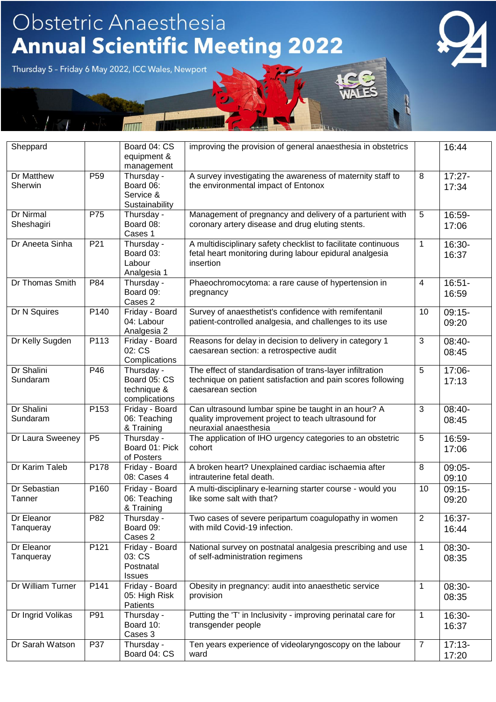

| Sheppard                |                 | Board 04: CS<br>equipment &<br>management                  | improving the provision of general anaesthesia in obstetrics                                                                                  |                | 16:44              |
|-------------------------|-----------------|------------------------------------------------------------|-----------------------------------------------------------------------------------------------------------------------------------------------|----------------|--------------------|
| Dr Matthew<br>Sherwin   | P <sub>59</sub> | Thursday -<br>Board 06:<br>Service &<br>Sustainability     | A survey investigating the awareness of maternity staff to<br>the environmental impact of Entonox                                             | 8              | $17:27 -$<br>17:34 |
| Dr Nirmal<br>Sheshagiri | P75             | Thursday -<br>Board 08:<br>Cases 1                         | Management of pregnancy and delivery of a parturient with<br>coronary artery disease and drug eluting stents.                                 | 5              | 16:59-<br>17:06    |
| Dr Aneeta Sinha         | P <sub>21</sub> | Thursday -<br>Board 03:<br>Labour<br>Analgesia 1           | A multidisciplinary safety checklist to facilitate continuous<br>fetal heart monitoring during labour epidural analgesia<br>insertion         | $\mathbf{1}$   | 16:30-<br>16:37    |
| Dr Thomas Smith         | P84             | Thursday -<br>Board 09:<br>Cases 2                         | Phaeochromocytoma: a rare cause of hypertension in<br>pregnancy                                                                               | $\overline{4}$ | $16:51 -$<br>16:59 |
| Dr N Squires            | P140            | Friday - Board<br>04: Labour<br>Analgesia 2                | Survey of anaesthetist's confidence with remifentanil<br>patient-controlled analgesia, and challenges to its use                              | 10             | $09:15-$<br>09:20  |
| Dr Kelly Sugden         | P113            | Friday - Board<br>02: CS<br>Complications                  | Reasons for delay in decision to delivery in category 1<br>caesarean section: a retrospective audit                                           | 3              | 08:40-<br>08:45    |
| Dr Shalini<br>Sundaram  | P46             | Thursday -<br>Board 05: CS<br>technique &<br>complications | The effect of standardisation of trans-layer infiltration<br>technique on patient satisfaction and pain scores following<br>caesarean section | 5              | 17:06-<br>17:13    |
| Dr Shalini<br>Sundaram  | P153            | Friday - Board<br>06: Teaching<br>& Training               | Can ultrasound lumbar spine be taught in an hour? A<br>quality improvement project to teach ultrasound for<br>neuraxial anaesthesia           | 3              | 08:40-<br>08:45    |
| Dr Laura Sweeney        | P <sub>5</sub>  | Thursday -<br>Board 01: Pick<br>of Posters                 | The application of IHO urgency categories to an obstetric<br>cohort                                                                           | 5              | 16:59-<br>17:06    |
| Dr Karim Taleb          | P178            | Friday - Board<br>08: Cases 4                              | A broken heart? Unexplained cardiac ischaemia after<br>intrauterine fetal death.                                                              | 8              | 09:05-<br>09:10    |
| Dr Sebastian<br>Tanner  | P160            | Friday - Board<br>06: Teaching<br>& Training               | A multi-disciplinary e-learning starter course - would you<br>like some salt with that?                                                       | 10             | $09:15-$<br>09:20  |
| Dr Eleanor<br>Tanqueray | P82             | Thursday -<br>Board 09:<br>Cases 2                         | Two cases of severe peripartum coagulopathy in women<br>with mild Covid-19 infection.                                                         | 2              | 16:37-<br>16:44    |
| Dr Eleanor<br>Tanqueray | P121            | Friday - Board<br>03: CS<br>Postnatal<br><b>Issues</b>     | National survey on postnatal analgesia prescribing and use<br>of self-administration regimens                                                 | $\mathbf{1}$   | 08:30-<br>08:35    |
| Dr William Turner       | P141            | Friday - Board<br>05: High Risk<br>Patients                | Obesity in pregnancy: audit into anaesthetic service<br>provision                                                                             | $\mathbf{1}$   | 08:30-<br>08:35    |
| Dr Ingrid Volikas       | P91             | Thursday -<br>Board 10:<br>Cases 3                         | Putting the 'T' in Inclusivity - improving perinatal care for<br>transgender people                                                           | $\mathbf{1}$   | 16:30-<br>16:37    |
| Dr Sarah Watson         | P37             | Thursday -<br>Board 04: CS                                 | Ten years experience of videolaryngoscopy on the labour<br>ward                                                                               | $\overline{7}$ | $17:13-$<br>17:20  |